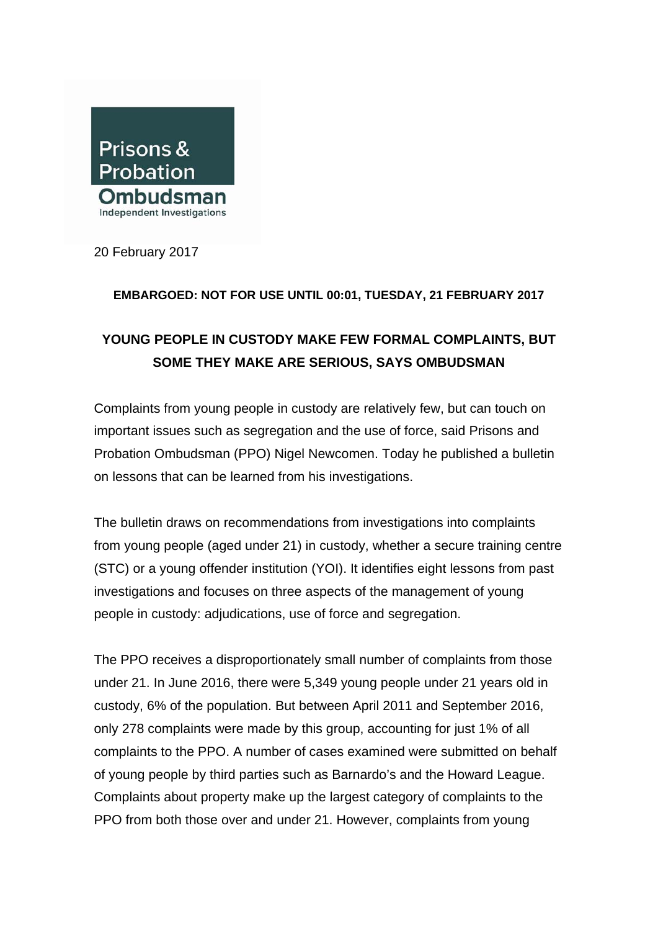

20 February 2017

## **EMBARGOED: NOT FOR USE UNTIL 00:01, TUESDAY, 21 FEBRUARY 2017**

## **YOUNG PEOPLE IN CUSTODY MAKE FEW FORMAL COMPLAINTS, BUT SOME THEY MAKE ARE SERIOUS, SAYS OMBUDSMAN**

Complaints from young people in custody are relatively few, but can touch on important issues such as segregation and the use of force, said Prisons and Probation Ombudsman (PPO) Nigel Newcomen. Today he published a bulletin on lessons that can be learned from his investigations.

The bulletin draws on recommendations from investigations into complaints from young people (aged under 21) in custody, whether a secure training centre (STC) or a young offender institution (YOI). It identifies eight lessons from past investigations and focuses on three aspects of the management of young people in custody: adjudications, use of force and segregation.

The PPO receives a disproportionately small number of complaints from those under 21. In June 2016, there were 5,349 young people under 21 years old in custody, 6% of the population. But between April 2011 and September 2016, only 278 complaints were made by this group, accounting for just 1% of all complaints to the PPO. A number of cases examined were submitted on behalf of young people by third parties such as Barnardo's and the Howard League. Complaints about property make up the largest category of complaints to the PPO from both those over and under 21. However, complaints from young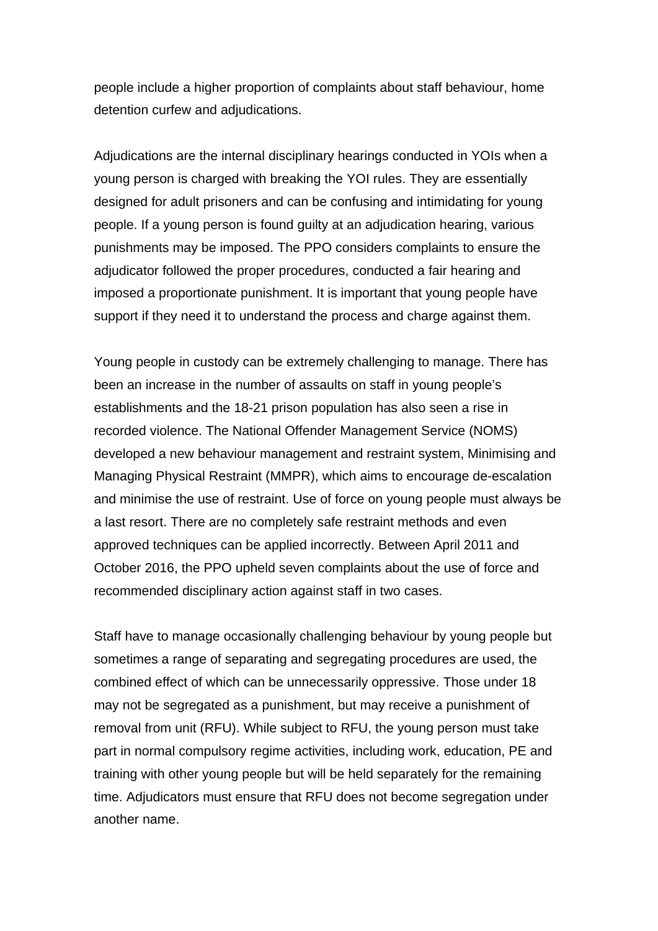people include a higher proportion of complaints about staff behaviour, home detention curfew and adjudications.

Adjudications are the internal disciplinary hearings conducted in YOIs when a young person is charged with breaking the YOI rules. They are essentially designed for adult prisoners and can be confusing and intimidating for young people. If a young person is found guilty at an adjudication hearing, various punishments may be imposed. The PPO considers complaints to ensure the adjudicator followed the proper procedures, conducted a fair hearing and imposed a proportionate punishment. It is important that young people have support if they need it to understand the process and charge against them.

Young people in custody can be extremely challenging to manage. There has been an increase in the number of assaults on staff in young people's establishments and the 18-21 prison population has also seen a rise in recorded violence. The National Offender Management Service (NOMS) developed a new behaviour management and restraint system, Minimising and Managing Physical Restraint (MMPR), which aims to encourage de-escalation and minimise the use of restraint. Use of force on young people must always be a last resort. There are no completely safe restraint methods and even approved techniques can be applied incorrectly. Between April 2011 and October 2016, the PPO upheld seven complaints about the use of force and recommended disciplinary action against staff in two cases.

Staff have to manage occasionally challenging behaviour by young people but sometimes a range of separating and segregating procedures are used, the combined effect of which can be unnecessarily oppressive. Those under 18 may not be segregated as a punishment, but may receive a punishment of removal from unit (RFU). While subject to RFU, the young person must take part in normal compulsory regime activities, including work, education, PE and training with other young people but will be held separately for the remaining time. Adjudicators must ensure that RFU does not become segregation under another name.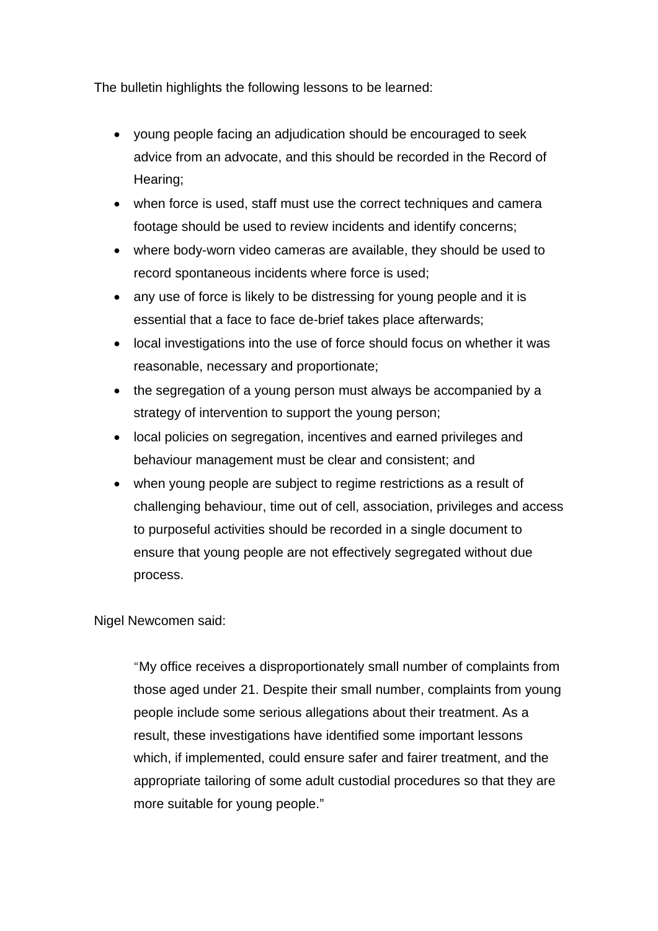The bulletin highlights the following lessons to be learned:

- young people facing an adjudication should be encouraged to seek advice from an advocate, and this should be recorded in the Record of Hearing;
- when force is used, staff must use the correct techniques and camera footage should be used to review incidents and identify concerns;
- where body-worn video cameras are available, they should be used to record spontaneous incidents where force is used;
- any use of force is likely to be distressing for young people and it is essential that a face to face de-brief takes place afterwards;
- local investigations into the use of force should focus on whether it was reasonable, necessary and proportionate;
- the segregation of a young person must always be accompanied by a strategy of intervention to support the young person;
- local policies on segregation, incentives and earned privileges and behaviour management must be clear and consistent; and
- when young people are subject to regime restrictions as a result of challenging behaviour, time out of cell, association, privileges and access to purposeful activities should be recorded in a single document to ensure that young people are not effectively segregated without due process.

## Nigel Newcomen said:

"My office receives a disproportionately small number of complaints from those aged under 21. Despite their small number, complaints from young people include some serious allegations about their treatment. As a result, these investigations have identified some important lessons which, if implemented, could ensure safer and fairer treatment, and the appropriate tailoring of some adult custodial procedures so that they are more suitable for young people."